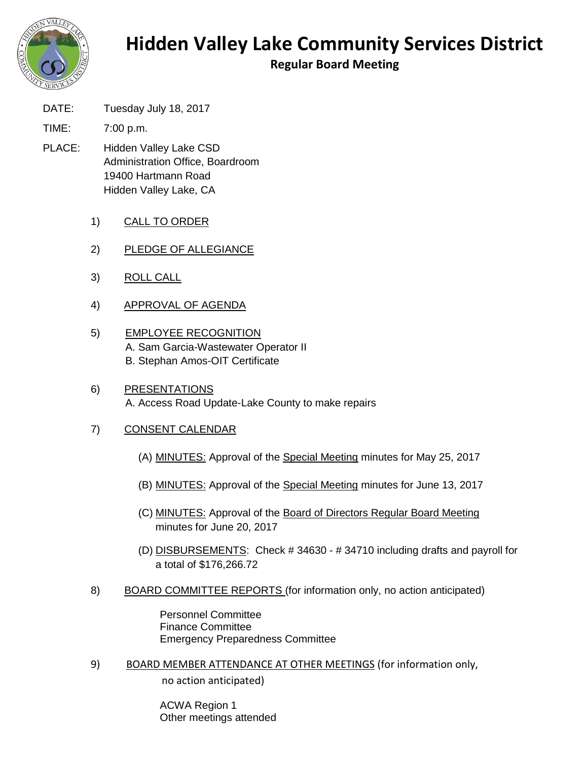

## **Hidden Valley Lake Community Services District**

**Regular Board Meeting**

DATE: Tuesday July 18, 2017

TIME: 7:00 p.m.

- PLACE: Hidden Valley Lake CSD Administration Office, Boardroom 19400 Hartmann Road Hidden Valley Lake, CA
	- 1) CALL TO ORDER
	- 2) PLEDGE OF ALLEGIANCE
	- 3) ROLL CALL
	- 4) APPROVAL OF AGENDA
	- 5) EMPLOYEE RECOGNITION A. Sam Garcia-Wastewater Operator II B. Stephan Amos-OIT Certificate
	- 6) PRESENTATIONS A. Access Road Update-Lake County to make repairs

## 7) CONSENT CALENDAR

- (A) MINUTES: Approval of the Special Meeting minutes for May 25, 2017
- (B) MINUTES: Approval of the Special Meeting minutes for June 13, 2017
- (C) MINUTES: Approval of the Board of Directors Regular Board Meeting minutes for June 20, 2017
- (D) DISBURSEMENTS: Check # 34630 # 34710 including drafts and payroll for a total of \$176,266.72
- 8) BOARD COMMITTEE REPORTS (for information only, no action anticipated)

Personnel Committee Finance Committee Emergency Preparedness Committee

9) BOARD MEMBER ATTENDANCE AT OTHER MEETINGS (for information only, no action anticipated)

> ACWA Region 1 Other meetings attended